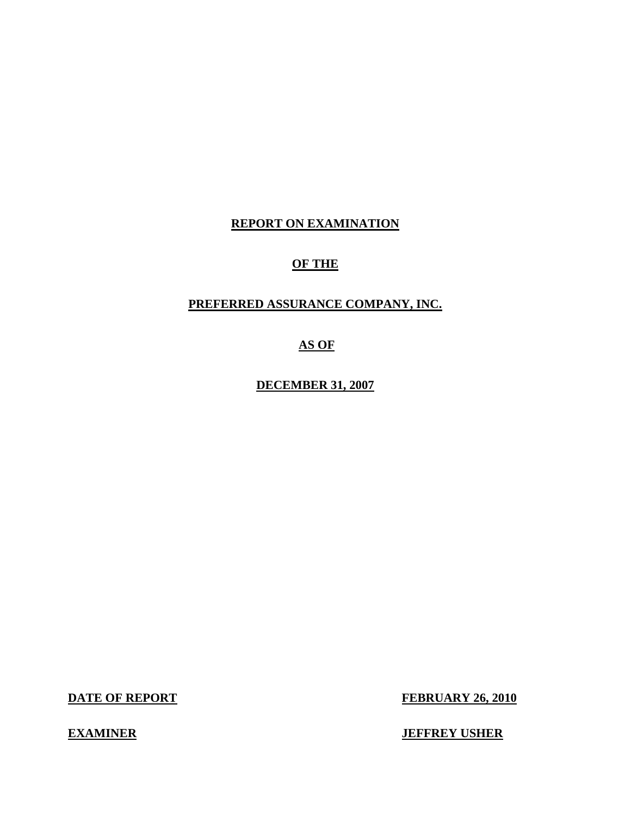## **REPORT ON EXAMINATION**

## **OF THE**

## **PREFERRED ASSURANCE COMPANY, INC.**

## **AS OF**

**DECEMBER 31, 2007** 

**DATE OF REPORT FEBRUARY 26, 2010** 

**EXAMINER IEFFREY USHER**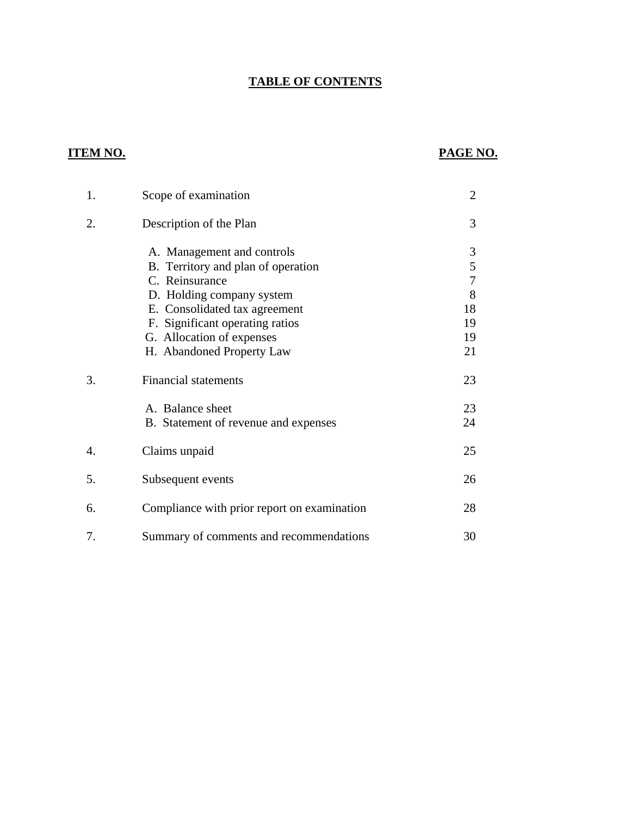## **TABLE OF CONTENTS**

## **ITEM NO.**

## **PAGE NO.**

| 1. | Scope of examination                        | $\overline{2}$ |
|----|---------------------------------------------|----------------|
| 2. | Description of the Plan                     | 3              |
|    | A. Management and controls                  | 3              |
|    | B. Territory and plan of operation          | 5              |
|    | C. Reinsurance                              | 7              |
|    | D. Holding company system                   | 8              |
|    | E. Consolidated tax agreement               | 18             |
|    | F. Significant operating ratios             | 19             |
|    | G. Allocation of expenses                   | 19             |
|    | H. Abandoned Property Law                   | 21             |
| 3. | <b>Financial statements</b>                 | 23             |
|    | A. Balance sheet                            | 23             |
|    | B. Statement of revenue and expenses        | 24             |
| 4. | Claims unpaid                               | 25             |
| 5. | Subsequent events                           | 26             |
| 6. | Compliance with prior report on examination | 28             |
| 7. | Summary of comments and recommendations     | 30             |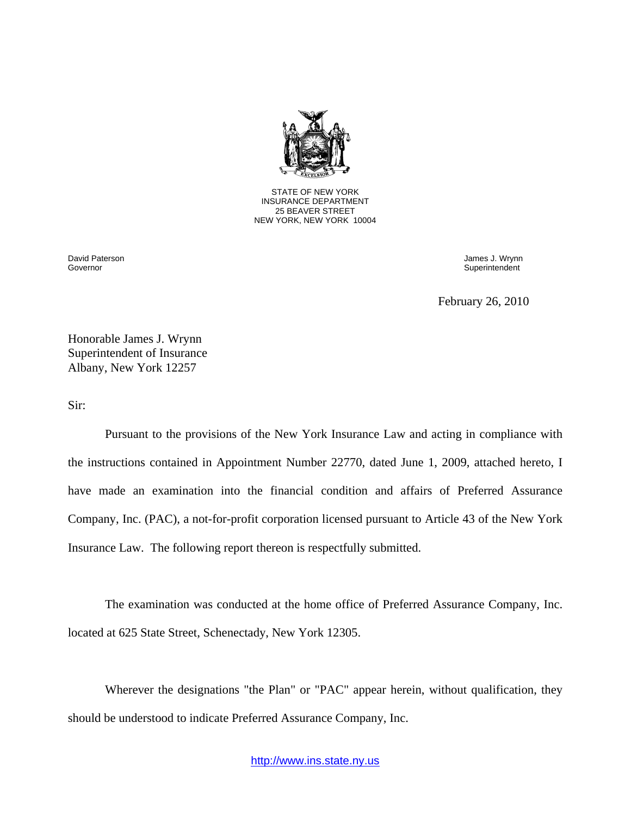

STATE OF NEW YORK INSURANCE DEPARTMENT 25 BEAVER STREET NEW YORK, NEW YORK 10004

David Paterson Governor

James J. Wrynn Superintendent

February 26, 2010

Honorable James J. Wrynn Superintendent of Insurance Albany, New York 12257

Sir:

Pursuant to the provisions of the New York Insurance Law and acting in compliance with the instructions contained in Appointment Number 22770, dated June 1, 2009, attached hereto, I have made an examination into the financial condition and affairs of Preferred Assurance Company, Inc. (PAC), a not-for-profit corporation licensed pursuant to Article 43 of the New York Insurance Law. The following report thereon is respectfully submitted.

The examination was conducted at the home office of Preferred Assurance Company, Inc. located at 625 State Street, Schenectady, New York 12305.

Wherever the designations "the Plan" or "PAC" appear herein, without qualification, they should be understood to indicate Preferred Assurance Company, Inc.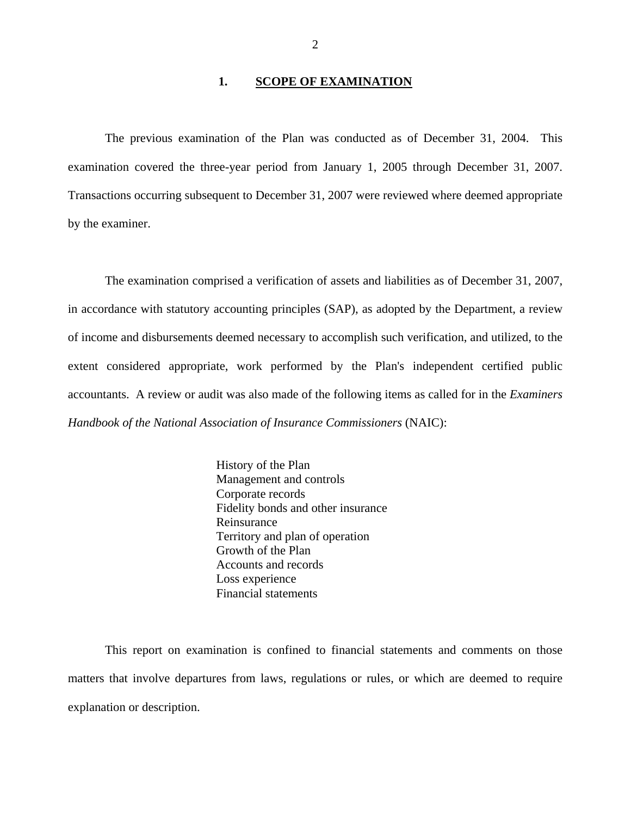#### 1. **SCOPE OF EXAMINATION**

<span id="page-3-0"></span>The previous examination of the Plan was conducted as of December 31, 2004. This examination covered the three-year period from January 1, 2005 through December 31, 2007. Transactions occurring subsequent to December 31, 2007 were reviewed where deemed appropriate by the examiner.

The examination comprised a verification of assets and liabilities as of December 31, 2007, in accordance with statutory accounting principles (SAP), as adopted by the Department, a review of income and disbursements deemed necessary to accomplish such verification, and utilized, to the extent considered appropriate, work performed by the Plan's independent certified public accountants. A review or audit was also made of the following items as called for in the *Examiners Handbook of the National Association of Insurance Commissioners* (NAIC):

 Loss experience History of the Plan Management and controls Corporate records Fidelity bonds and other insurance Reinsurance Territory and plan of operation Growth of the Plan Accounts and records Financial statements

This report on examination is confined to financial statements and comments on those matters that involve departures from laws, regulations or rules, or which are deemed to require explanation or description.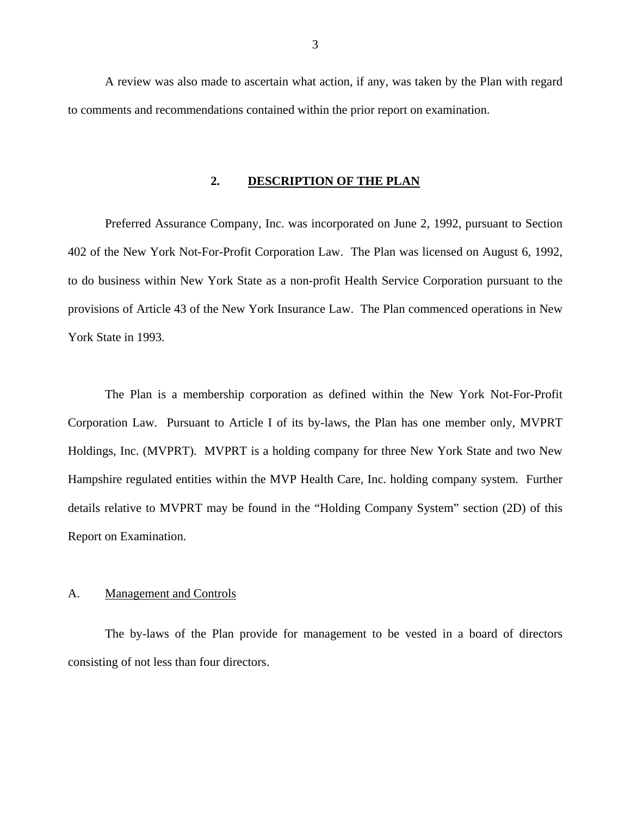<span id="page-4-0"></span>A review was also made to ascertain what action, if any, was taken by the Plan with regard to comments and recommendations contained within the prior report on examination.

#### **2. DESCRIPTION OF THE PLAN**

Preferred Assurance Company, Inc. was incorporated on June 2, 1992, pursuant to Section 402 of the New York Not-For-Profit Corporation Law. The Plan was licensed on August 6, 1992, to do business within New York State as a non-profit Health Service Corporation pursuant to the provisions of Article 43 of the New York Insurance Law. The Plan commenced operations in New York State in 1993.

The Plan is a membership corporation as defined within the New York Not-For-Profit Corporation Law. Pursuant to Article I of its by-laws, the Plan has one member only, MVPRT Holdings, Inc. (MVPRT). MVPRT is a holding company for three New York State and two New Hampshire regulated entities within the MVP Health Care, Inc. holding company system. Further details relative to MVPRT may be found in the "Holding Company System" section (2D) of this Report on Examination.

#### A. Management and Controls

The by-laws of the Plan provide for management to be vested in a board of directors consisting of not less than four directors.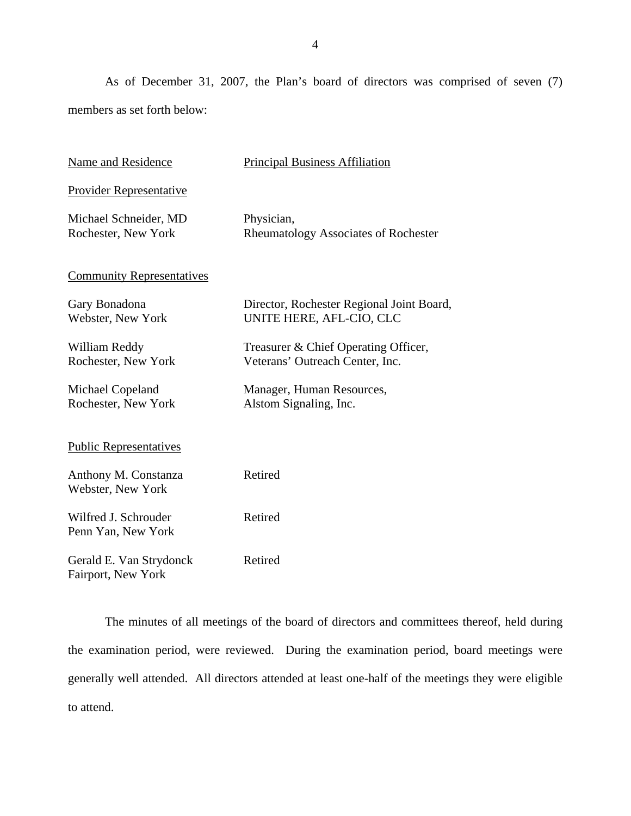As of December 31, 2007, the Plan's board of directors was comprised of seven (7) members as set forth below:

| Name and Residence                            | <b>Principal Business Affiliation</b>                                   |
|-----------------------------------------------|-------------------------------------------------------------------------|
| <b>Provider Representative</b>                |                                                                         |
| Michael Schneider, MD<br>Rochester, New York  | Physician,<br>Rheumatology Associates of Rochester                      |
| <b>Community Representatives</b>              |                                                                         |
| Gary Bonadona<br>Webster, New York            | Director, Rochester Regional Joint Board,<br>UNITE HERE, AFL-CIO, CLC   |
| William Reddy<br>Rochester, New York          | Treasurer & Chief Operating Officer,<br>Veterans' Outreach Center, Inc. |
| Michael Copeland<br>Rochester, New York       | Manager, Human Resources,<br>Alstom Signaling, Inc.                     |
| <b>Public Representatives</b>                 |                                                                         |
| Anthony M. Constanza<br>Webster, New York     | Retired                                                                 |
| Wilfred J. Schrouder<br>Penn Yan, New York    | Retired                                                                 |
| Gerald E. Van Strydonck<br>Fairport, New York | Retired                                                                 |

The minutes of all meetings of the board of directors and committees thereof, held during the examination period, were reviewed. During the examination period, board meetings were generally well attended. All directors attended at least one-half of the meetings they were eligible to attend.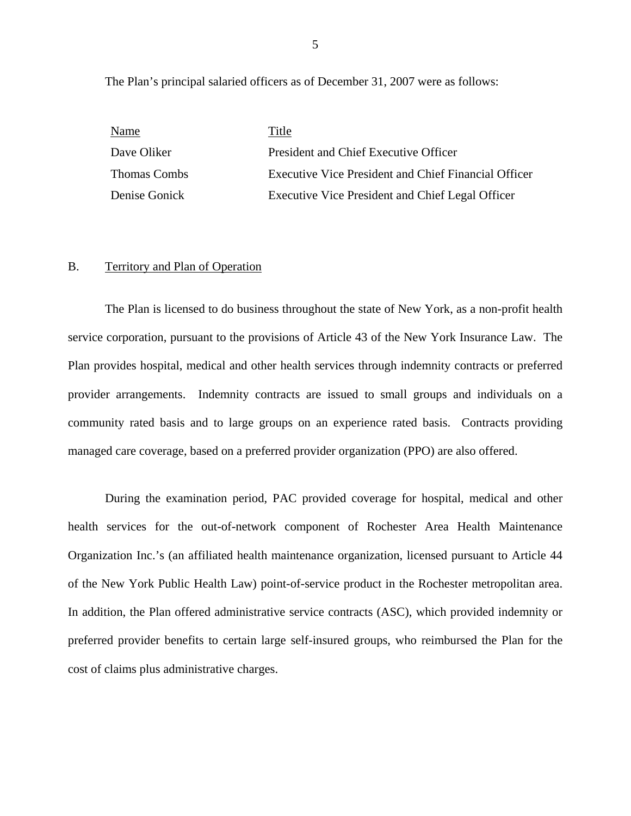The Plan's principal salaried officers as of December 31, 2007 were as follows:

| Name                | Title                                                       |
|---------------------|-------------------------------------------------------------|
| Dave Oliker         | President and Chief Executive Officer                       |
| <b>Thomas Combs</b> | <b>Executive Vice President and Chief Financial Officer</b> |
| Denise Gonick       | Executive Vice President and Chief Legal Officer            |

#### B. Territory and Plan of Operation

The Plan is licensed to do business throughout the state of New York, as a non-profit health service corporation, pursuant to the provisions of Article 43 of the New York Insurance Law. The Plan provides hospital, medical and other health services through indemnity contracts or preferred provider arrangements. Indemnity contracts are issued to small groups and individuals on a community rated basis and to large groups on an experience rated basis. Contracts providing managed care coverage, based on a preferred provider organization (PPO) are also offered.

During the examination period, PAC provided coverage for hospital, medical and other health services for the out-of-network component of Rochester Area Health Maintenance Organization Inc.'s (an affiliated health maintenance organization, licensed pursuant to Article 44 of the New York Public Health Law) point-of-service product in the Rochester metropolitan area. In addition, the Plan offered administrative service contracts (ASC), which provided indemnity or preferred provider benefits to certain large self-insured groups, who reimbursed the Plan for the cost of claims plus administrative charges.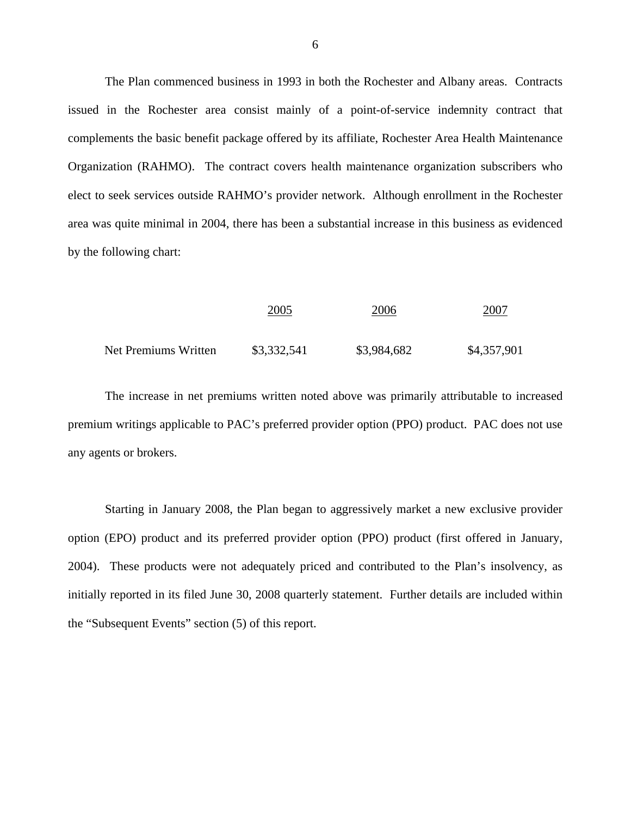The Plan commenced business in 1993 in both the Rochester and Albany areas. Contracts issued in the Rochester area consist mainly of a point-of-service indemnity contract that complements the basic benefit package offered by its affiliate, Rochester Area Health Maintenance Organization (RAHMO). The contract covers health maintenance organization subscribers who elect to seek services outside RAHMO's provider network. Although enrollment in the Rochester area was quite minimal in 2004, there has been a substantial increase in this business as evidenced by the following chart:

|                      | 2005        | 2006        | <u>2007</u> |
|----------------------|-------------|-------------|-------------|
| Net Premiums Written | \$3,332,541 | \$3,984,682 | \$4,357,901 |

The increase in net premiums written noted above was primarily attributable to increased premium writings applicable to PAC's preferred provider option (PPO) product. PAC does not use any agents or brokers.

Starting in January 2008, the Plan began to aggressively market a new exclusive provider option (EPO) product and its preferred provider option (PPO) product (first offered in January, 2004). These products were not adequately priced and contributed to the Plan's insolvency, as initially reported in its filed June 30, 2008 quarterly statement. Further details are included within the "Subsequent Events" section (5) of this report.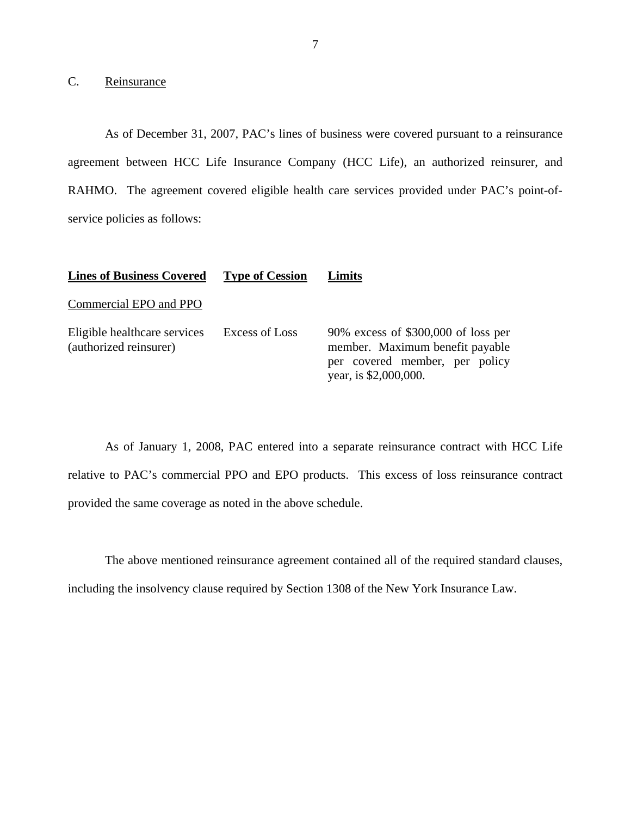## C. Reinsurance

As of December 31, 2007, PAC's lines of business were covered pursuant to a reinsurance agreement between HCC Life Insurance Company (HCC Life), an authorized reinsurer, and RAHMO. The agreement covered eligible health care services provided under PAC's point-ofservice policies as follows:

| <b>Lines of Business Covered</b>                       | <b>Type of Cession</b> | Limits                                                                                                                             |
|--------------------------------------------------------|------------------------|------------------------------------------------------------------------------------------------------------------------------------|
| Commercial EPO and PPO                                 |                        |                                                                                                                                    |
| Eligible healthcare services<br>(authorized reinsurer) | Excess of Loss         | 90% excess of $$300,000$ of loss per<br>member. Maximum benefit payable<br>per covered member, per policy<br>year, is \$2,000,000. |

As of January 1, 2008, PAC entered into a separate reinsurance contract with HCC Life relative to PAC's commercial PPO and EPO products. This excess of loss reinsurance contract provided the same coverage as noted in the above schedule.

The above mentioned reinsurance agreement contained all of the required standard clauses,

including the insolvency clause required by Section 1308 of the New York Insurance Law.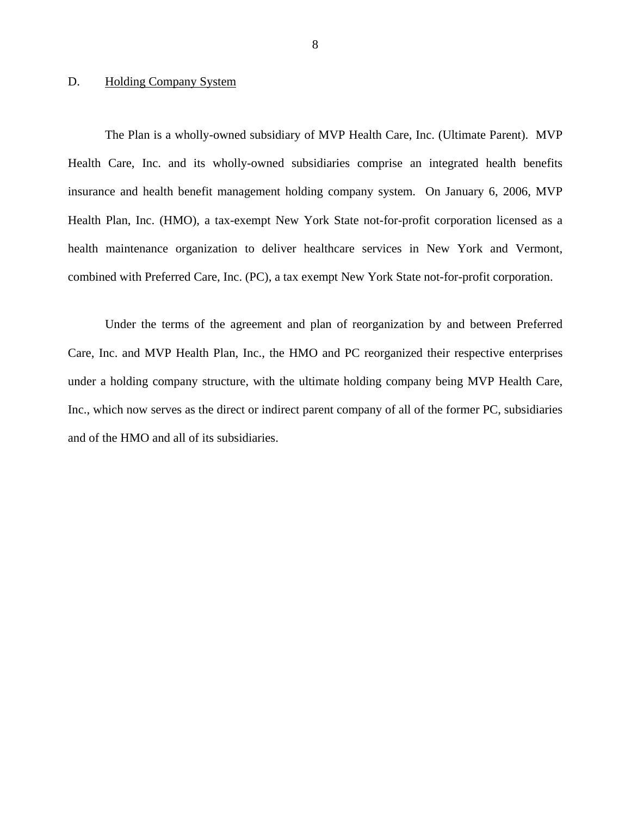#### <span id="page-9-0"></span>D. Holding Company System

The Plan is a wholly-owned subsidiary of MVP Health Care, Inc. (Ultimate Parent). MVP Health Care, Inc. and its wholly-owned subsidiaries comprise an integrated health benefits insurance and health benefit management holding company system. On January 6, 2006, MVP Health Plan, Inc. (HMO), a tax-exempt New York State not-for-profit corporation licensed as a health maintenance organization to deliver healthcare services in New York and Vermont, combined with Preferred Care, Inc. (PC), a tax exempt New York State not-for-profit corporation.

Under the terms of the agreement and plan of reorganization by and between Preferred Care, Inc. and MVP Health Plan, Inc., the HMO and PC reorganized their respective enterprises under a holding company structure, with the ultimate holding company being MVP Health Care, Inc., which now serves as the direct or indirect parent company of all of the former PC, subsidiaries and of the HMO and all of its subsidiaries.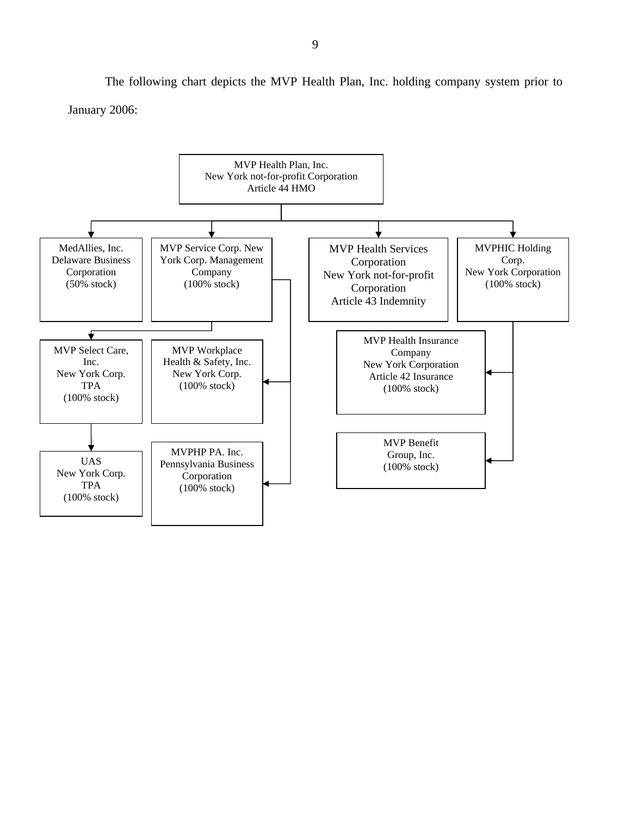The following chart depicts the MVP Health Plan, Inc. holding company system prior to January 2006:

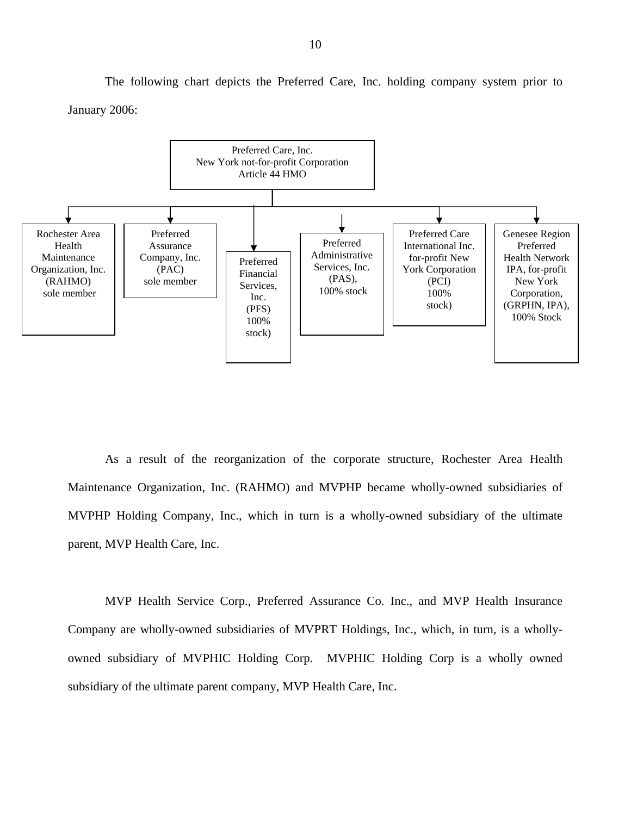The following chart depicts the Preferred Care, Inc. holding company system prior to January 2006:



As a result of the reorganization of the corporate structure, Rochester Area Health Maintenance Organization, Inc. (RAHMO) and MVPHP became wholly-owned subsidiaries of MVPHP Holding Company, Inc., which in turn is a wholly-owned subsidiary of the ultimate parent, MVP Health Care, Inc.

MVP Health Service Corp., Preferred Assurance Co. Inc., and MVP Health Insurance Company are wholly-owned subsidiaries of MVPRT Holdings, Inc., which, in turn, is a whollyowned subsidiary of MVPHIC Holding Corp. MVPHIC Holding Corp is a wholly owned subsidiary of the ultimate parent company, MVP Health Care, Inc.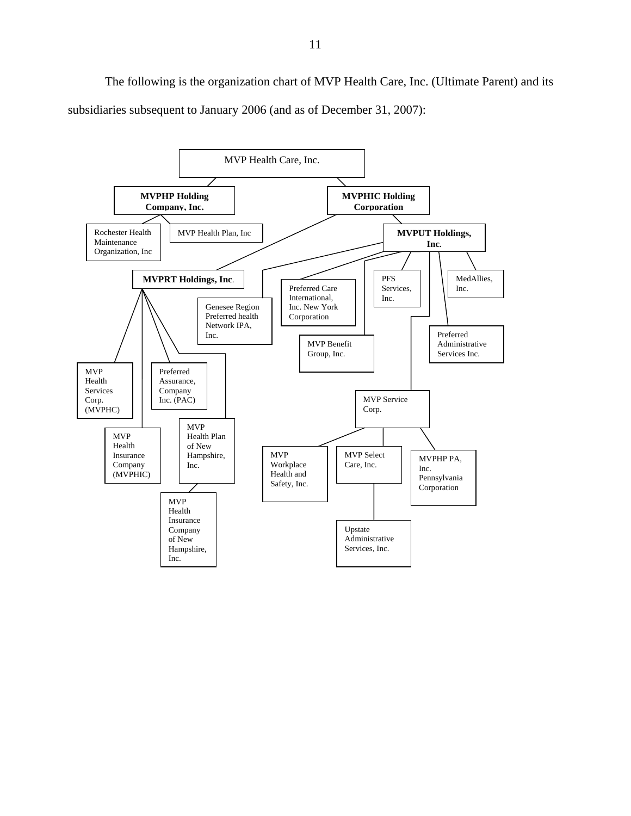The following is the organization chart of MVP Health Care, Inc. (Ultimate Parent) and its subsidiaries subsequent to January 2006 (and as of December 31, 2007):

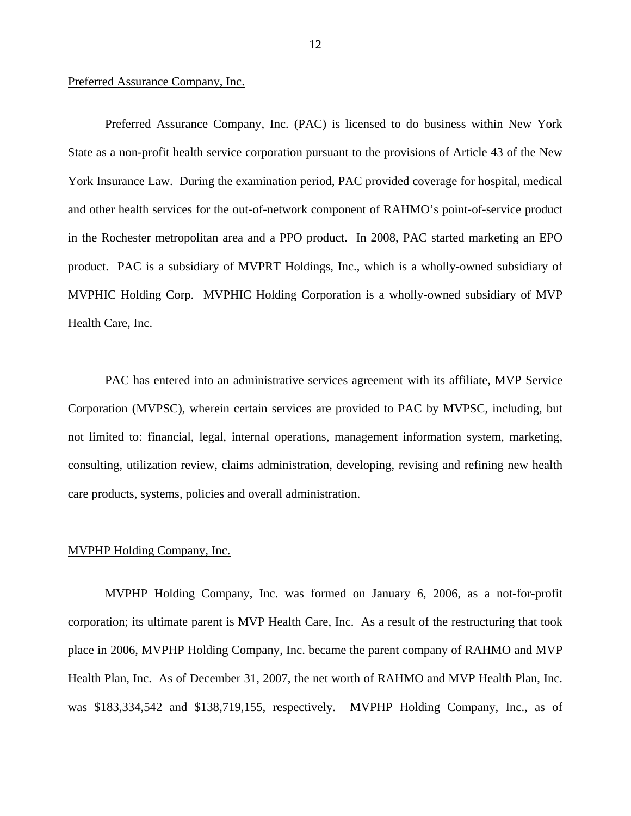#### Preferred Assurance Company, Inc.

Preferred Assurance Company, Inc. (PAC) is licensed to do business within New York State as a non-profit health service corporation pursuant to the provisions of Article 43 of the New York Insurance Law. During the examination period, PAC provided coverage for hospital, medical and other health services for the out-of-network component of RAHMO's point-of-service product in the Rochester metropolitan area and a PPO product. In 2008, PAC started marketing an EPO product. PAC is a subsidiary of MVPRT Holdings, Inc., which is a wholly-owned subsidiary of MVPHIC Holding Corp. MVPHIC Holding Corporation is a wholly-owned subsidiary of MVP Health Care, Inc.

PAC has entered into an administrative services agreement with its affiliate, MVP Service Corporation (MVPSC), wherein certain services are provided to PAC by MVPSC, including, but not limited to: financial, legal, internal operations, management information system, marketing, consulting, utilization review, claims administration, developing, revising and refining new health care products, systems, policies and overall administration.

#### MVPHP Holding Company, Inc.

MVPHP Holding Company, Inc. was formed on January 6, 2006, as a not-for-profit corporation; its ultimate parent is MVP Health Care, Inc. As a result of the restructuring that took place in 2006, MVPHP Holding Company, Inc. became the parent company of RAHMO and MVP Health Plan, Inc. As of December 31, 2007, the net worth of RAHMO and MVP Health Plan, Inc. was \$183,334,542 and \$138,719,155, respectively. MVPHP Holding Company, Inc., as of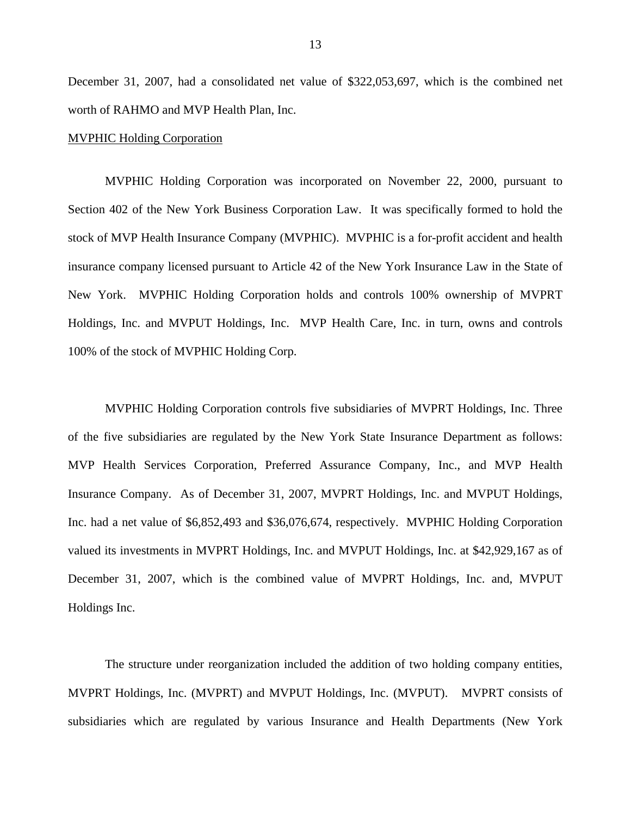December 31, 2007, had a consolidated net value of \$322,053,697, which is the combined net worth of RAHMO and MVP Health Plan, Inc.

#### MVPHIC Holding Corporation

MVPHIC Holding Corporation was incorporated on November 22, 2000, pursuant to Section 402 of the New York Business Corporation Law. It was specifically formed to hold the stock of MVP Health Insurance Company (MVPHIC). MVPHIC is a for-profit accident and health insurance company licensed pursuant to Article 42 of the New York Insurance Law in the State of New York. MVPHIC Holding Corporation holds and controls 100% ownership of MVPRT Holdings, Inc. and MVPUT Holdings, Inc. MVP Health Care, Inc. in turn, owns and controls 100% of the stock of MVPHIC Holding Corp.

MVPHIC Holding Corporation controls five subsidiaries of MVPRT Holdings, Inc. Three of the five subsidiaries are regulated by the New York State Insurance Department as follows: MVP Health Services Corporation, Preferred Assurance Company, Inc., and MVP Health Insurance Company. As of December 31, 2007, MVPRT Holdings, Inc. and MVPUT Holdings, Inc. had a net value of \$6,852,493 and \$36,076,674, respectively. MVPHIC Holding Corporation valued its investments in MVPRT Holdings, Inc. and MVPUT Holdings, Inc. at \$42,929,167 as of December 31, 2007, which is the combined value of MVPRT Holdings, Inc. and, MVPUT Holdings Inc.

The structure under reorganization included the addition of two holding company entities, MVPRT Holdings, Inc. (MVPRT) and MVPUT Holdings, Inc. (MVPUT). MVPRT consists of subsidiaries which are regulated by various Insurance and Health Departments (New York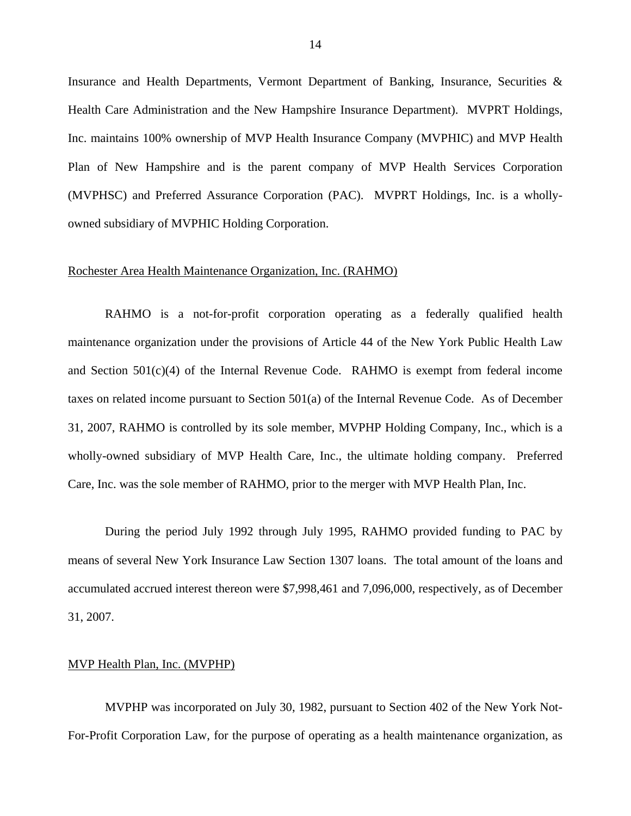Insurance and Health Departments, Vermont Department of Banking, Insurance, Securities & Health Care Administration and the New Hampshire Insurance Department). MVPRT Holdings, Inc. maintains 100% ownership of MVP Health Insurance Company (MVPHIC) and MVP Health Plan of New Hampshire and is the parent company of MVP Health Services Corporation (MVPHSC) and Preferred Assurance Corporation (PAC). MVPRT Holdings, Inc. is a whollyowned subsidiary of MVPHIC Holding Corporation.

#### Rochester Area Health Maintenance Organization, Inc. (RAHMO)

RAHMO is a not-for-profit corporation operating as a federally qualified health maintenance organization under the provisions of Article 44 of the New York Public Health Law and Section 501(c)(4) of the Internal Revenue Code. RAHMO is exempt from federal income taxes on related income pursuant to Section 501(a) of the Internal Revenue Code. As of December 31, 2007, RAHMO is controlled by its sole member, MVPHP Holding Company, Inc., which is a wholly-owned subsidiary of MVP Health Care, Inc., the ultimate holding company. Preferred Care, Inc. was the sole member of RAHMO, prior to the merger with MVP Health Plan, Inc.

During the period July 1992 through July 1995, RAHMO provided funding to PAC by means of several New York Insurance Law Section 1307 loans. The total amount of the loans and accumulated accrued interest thereon were \$7,998,461 and 7,096,000, respectively, as of December 31, 2007.

#### MVP Health Plan, Inc. (MVPHP)

MVPHP was incorporated on July 30, 1982, pursuant to Section 402 of the New York Not-For-Profit Corporation Law, for the purpose of operating as a health maintenance organization, as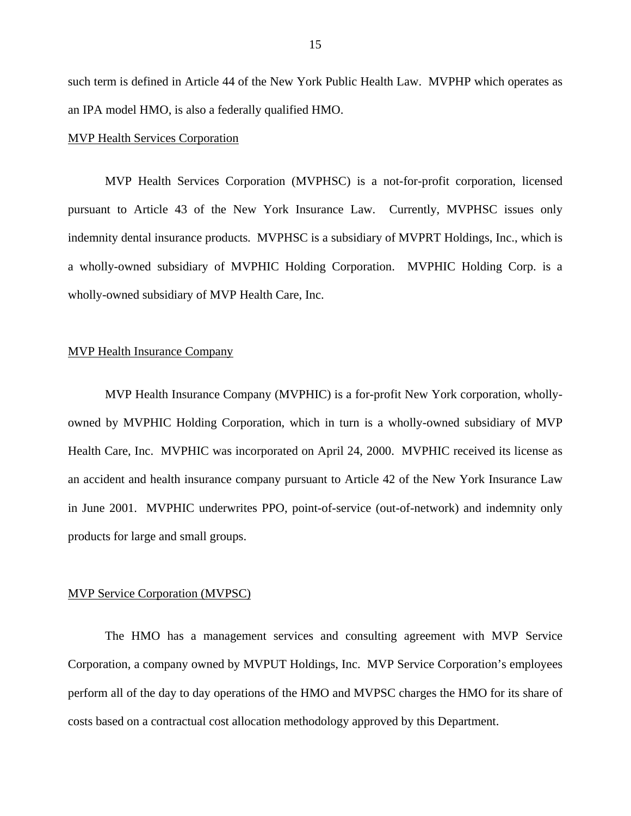such term is defined in Article 44 of the New York Public Health Law. MVPHP which operates as an IPA model HMO, is also a federally qualified HMO.

#### MVP Health Services Corporation

MVP Health Services Corporation (MVPHSC) is a not-for-profit corporation, licensed pursuant to Article 43 of the New York Insurance Law. Currently, MVPHSC issues only indemnity dental insurance products. MVPHSC is a subsidiary of MVPRT Holdings, Inc., which is a wholly-owned subsidiary of MVPHIC Holding Corporation. MVPHIC Holding Corp. is a wholly-owned subsidiary of MVP Health Care, Inc.

#### MVP Health Insurance Company

MVP Health Insurance Company (MVPHIC) is a for-profit New York corporation, whollyowned by MVPHIC Holding Corporation, which in turn is a wholly-owned subsidiary of MVP Health Care, Inc. MVPHIC was incorporated on April 24, 2000. MVPHIC received its license as an accident and health insurance company pursuant to Article 42 of the New York Insurance Law in June 2001. MVPHIC underwrites PPO, point-of-service (out-of-network) and indemnity only products for large and small groups.

#### MVP Service Corporation (MVPSC)

The HMO has a management services and consulting agreement with MVP Service Corporation, a company owned by MVPUT Holdings, Inc. MVP Service Corporation's employees perform all of the day to day operations of the HMO and MVPSC charges the HMO for its share of costs based on a contractual cost allocation methodology approved by this Department.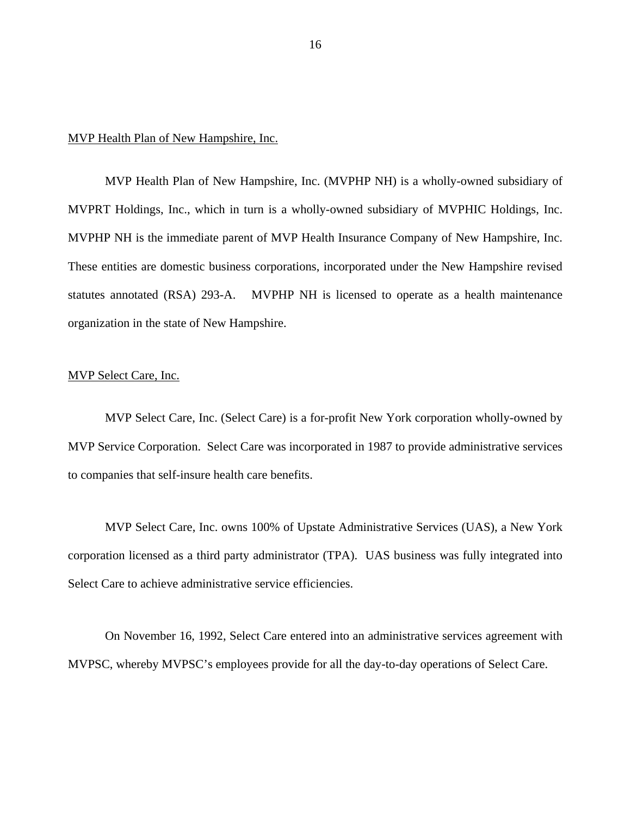#### MVP Health Plan of New Hampshire, Inc.

MVP Health Plan of New Hampshire, Inc. (MVPHP NH) is a wholly-owned subsidiary of MVPRT Holdings, Inc., which in turn is a wholly-owned subsidiary of MVPHIC Holdings, Inc. MVPHP NH is the immediate parent of MVP Health Insurance Company of New Hampshire, Inc. These entities are domestic business corporations, incorporated under the New Hampshire revised statutes annotated (RSA) 293-A. MVPHP NH is licensed to operate as a health maintenance organization in the state of New Hampshire.

#### MVP Select Care, Inc.

MVP Select Care, Inc. (Select Care) is a for-profit New York corporation wholly-owned by MVP Service Corporation. Select Care was incorporated in 1987 to provide administrative services to companies that self-insure health care benefits.

MVP Select Care, Inc. owns 100% of Upstate Administrative Services (UAS), a New York corporation licensed as a third party administrator (TPA). UAS business was fully integrated into Select Care to achieve administrative service efficiencies.

On November 16, 1992, Select Care entered into an administrative services agreement with MVPSC, whereby MVPSC's employees provide for all the day-to-day operations of Select Care.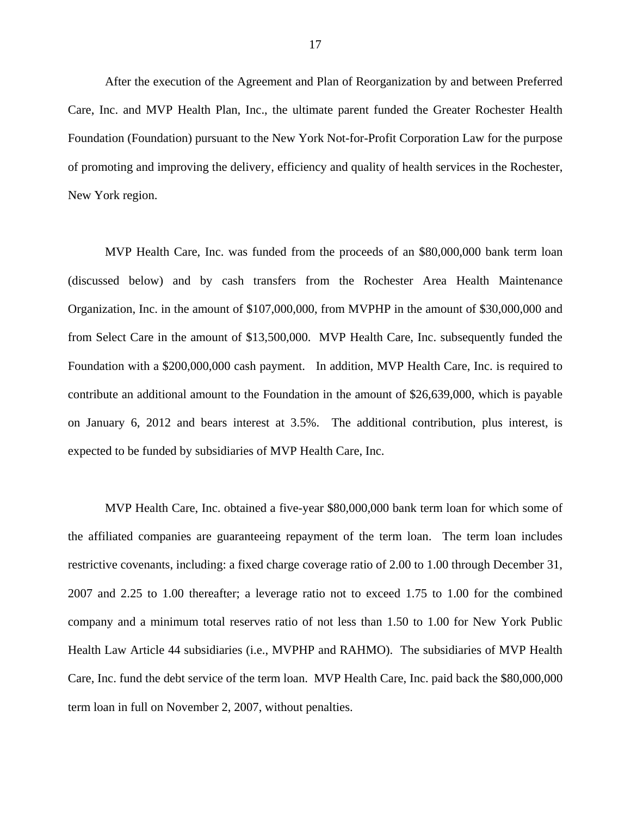After the execution of the Agreement and Plan of Reorganization by and between Preferred Care, Inc. and MVP Health Plan, Inc., the ultimate parent funded the Greater Rochester Health Foundation (Foundation) pursuant to the New York Not-for-Profit Corporation Law for the purpose of promoting and improving the delivery, efficiency and quality of health services in the Rochester, New York region.

MVP Health Care, Inc. was funded from the proceeds of an \$80,000,000 bank term loan (discussed below) and by cash transfers from the Rochester Area Health Maintenance Organization, Inc. in the amount of \$107,000,000, from MVPHP in the amount of \$30,000,000 and from Select Care in the amount of \$13,500,000. MVP Health Care, Inc. subsequently funded the Foundation with a \$200,000,000 cash payment. In addition, MVP Health Care, Inc. is required to contribute an additional amount to the Foundation in the amount of \$26,639,000, which is payable on January 6, 2012 and bears interest at 3.5%. The additional contribution, plus interest, is expected to be funded by subsidiaries of MVP Health Care, Inc.

MVP Health Care, Inc. obtained a five-year \$80,000,000 bank term loan for which some of the affiliated companies are guaranteeing repayment of the term loan. The term loan includes restrictive covenants, including: a fixed charge coverage ratio of 2.00 to 1.00 through December 31, 2007 and 2.25 to 1.00 thereafter; a leverage ratio not to exceed 1.75 to 1.00 for the combined company and a minimum total reserves ratio of not less than 1.50 to 1.00 for New York Public Health Law Article 44 subsidiaries (i.e., MVPHP and RAHMO). The subsidiaries of MVP Health Care, Inc. fund the debt service of the term loan. MVP Health Care, Inc. paid back the \$80,000,000 term loan in full on November 2, 2007, without penalties.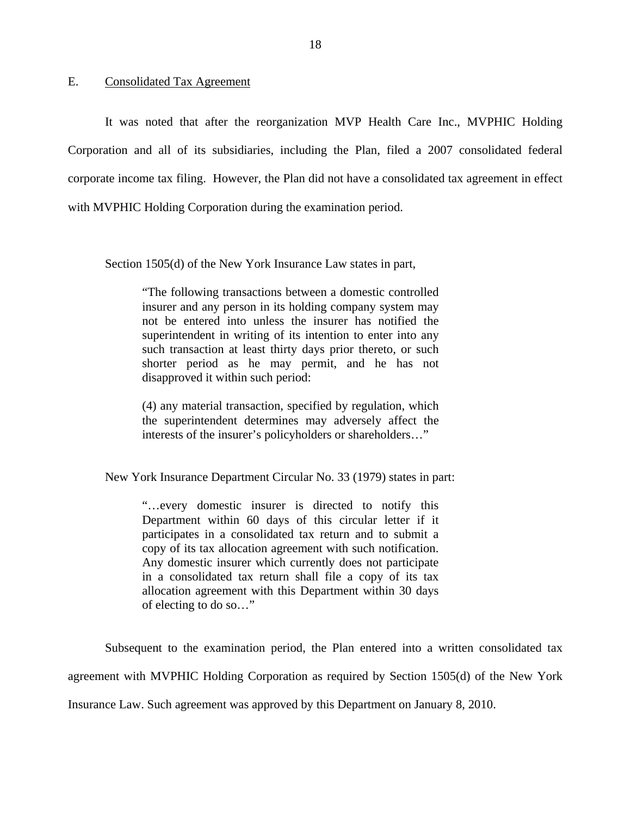#### <span id="page-19-0"></span>E. Consolidated Tax Agreement

It was noted that after the reorganization MVP Health Care Inc., MVPHIC Holding Corporation and all of its subsidiaries, including the Plan, filed a 2007 consolidated federal corporate income tax filing. However, the Plan did not have a consolidated tax agreement in effect with MVPHIC Holding Corporation during the examination period.

Section 1505(d) of the New York Insurance Law states in part,

"The following transactions between a domestic controlled insurer and any person in its holding company system may not be entered into unless the insurer has notified the superintendent in writing of its intention to enter into any such transaction at least thirty days prior thereto, or such shorter period as he may permit, and he has not disapproved it within such period:

(4) any material transaction, specified by regulation, which the superintendent determines may adversely affect the interests of the insurer's policyholders or shareholders…"

New York Insurance Department Circular No. 33 (1979) states in part:

"…every domestic insurer is directed to notify this Department within 60 days of this circular letter if it participates in a consolidated tax return and to submit a copy of its tax allocation agreement with such notification. Any domestic insurer which currently does not participate in a consolidated tax return shall file a copy of its tax allocation agreement with this Department within 30 days of electing to do so…"

Subsequent to the examination period, the Plan entered into a written consolidated tax agreement with MVPHIC Holding Corporation as required by Section 1505(d) of the New York Insurance Law. Such agreement was approved by this Department on January 8, 2010.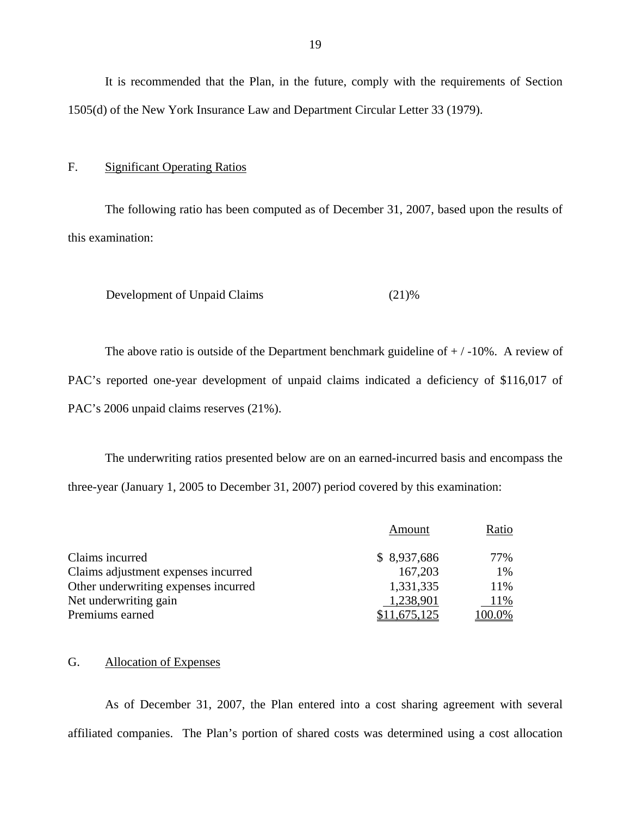F. Significant Operating Ratios

The following ratio has been computed as of December 31, 2007, based upon the results of this examination:

```
Development of Unpaid Claims (21)%
```
The above ratio is outside of the Department benchmark guideline of  $+/-10\%$ . A review of PAC's reported one-year development of unpaid claims indicated a deficiency of \$116,017 of PAC's 2006 unpaid claims reserves (21%).

The underwriting ratios presented below are on an earned-incurred basis and encompass the three-year (January 1, 2005 to December 31, 2007) period covered by this examination:

|                                      | Amount      | Ratio  |
|--------------------------------------|-------------|--------|
| Claims incurred                      | \$8,937,686 | 77%    |
| Claims adjustment expenses incurred  | 167,203     | 1%     |
| Other underwriting expenses incurred | 1,331,335   | 11%    |
| Net underwriting gain                | 1,238,901   | 11%    |
| Premiums earned                      | 11,675,125  | 100.0% |

#### G. Allocation of Expenses

As of December 31, 2007, the Plan entered into a cost sharing agreement with several affiliated companies. The Plan's portion of shared costs was determined using a cost allocation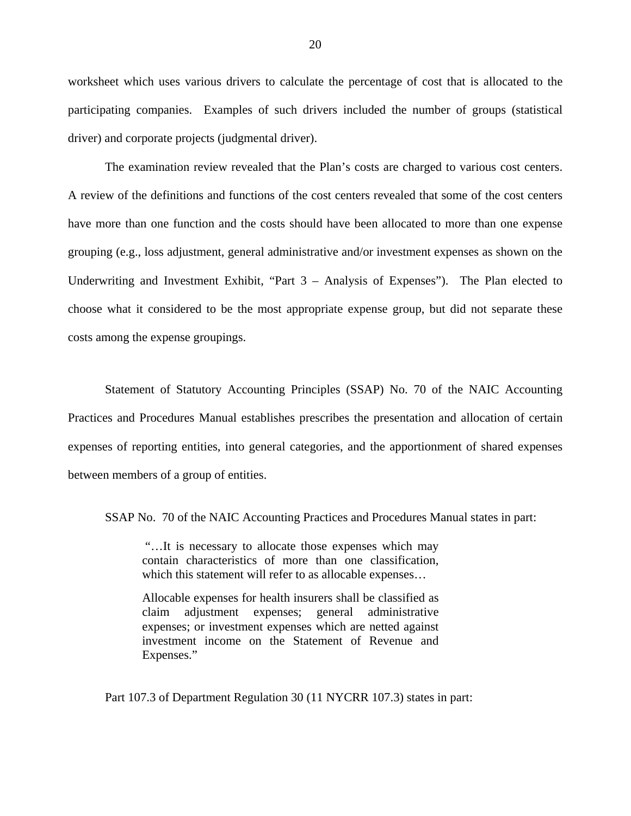worksheet which uses various drivers to calculate the percentage of cost that is allocated to the participating companies. Examples of such drivers included the number of groups (statistical driver) and corporate projects (judgmental driver).

The examination review revealed that the Plan's costs are charged to various cost centers. A review of the definitions and functions of the cost centers revealed that some of the cost centers have more than one function and the costs should have been allocated to more than one expense grouping (e.g., loss adjustment, general administrative and/or investment expenses as shown on the Underwriting and Investment Exhibit, "Part 3 – Analysis of Expenses"). The Plan elected to choose what it considered to be the most appropriate expense group, but did not separate these costs among the expense groupings.

Statement of Statutory Accounting Principles (SSAP) No. 70 of the NAIC Accounting Practices and Procedures Manual establishes prescribes the presentation and allocation of certain expenses of reporting entities, into general categories, and the apportionment of shared expenses between members of a group of entities.

SSAP No. 70 of the NAIC Accounting Practices and Procedures Manual states in part:

"…It is necessary to allocate those expenses which may contain characteristics of more than one classification, which this statement will refer to as allocable expenses…

Allocable expenses for health insurers shall be classified as claim adjustment expenses; general administrative expenses; or investment expenses which are netted against investment income on the Statement of Revenue and Expenses."

Part 107.3 of Department Regulation 30 (11 NYCRR 107.3) states in part: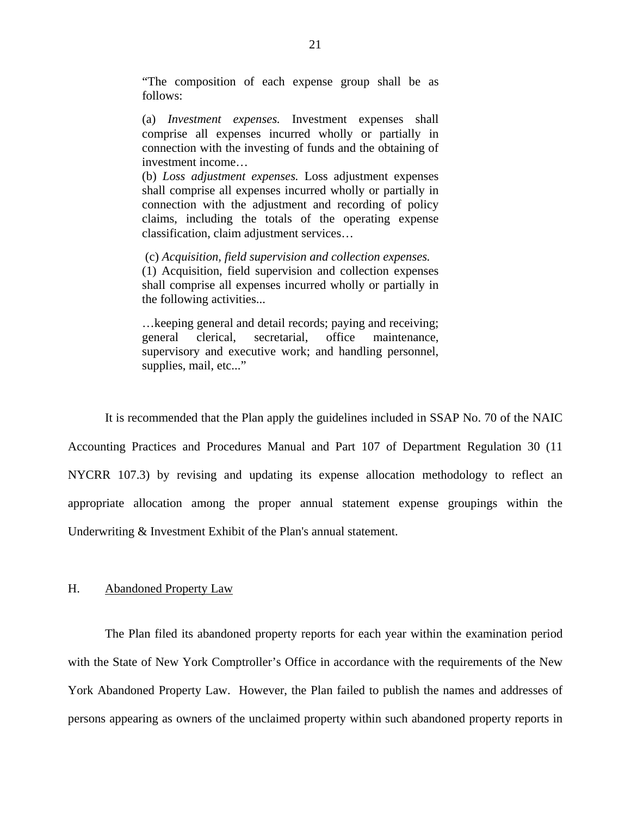<span id="page-22-0"></span>"The composition of each expense group shall be as follows:

(a) *Investment expenses.* Investment expenses shall comprise all expenses incurred wholly or partially in connection with the investing of funds and the obtaining of investment income…

(b) *Loss adjustment expenses.* Loss adjustment expenses shall comprise all expenses incurred wholly or partially in connection with the adjustment and recording of policy claims, including the totals of the operating expense classification, claim adjustment services…

the following activities... (c) *Acquisition, field supervision and collection expenses.*  (1) Acquisition, field supervision and collection expenses shall comprise all expenses incurred wholly or partially in

... keeping general and detail records; paying and receiving; general clerical, secretarial, office maintenance, supervisory and executive work; and handling personnel, supplies, mail, etc..."

It is recommended that the Plan apply the guidelines included in SSAP No. 70 of the NAIC Accounting Practices and Procedures Manual and Part 107 of Department Regulation 30 (11 NYCRR 107.3) by revising and updating its expense allocation methodology to reflect an appropriate allocation among the proper annual statement expense groupings within the Underwriting & Investment Exhibit of the Plan's annual statement.

#### H. Abandoned Property Law

The Plan filed its abandoned property reports for each year within the examination period with the State of New York Comptroller's Office in accordance with the requirements of the New York Abandoned Property Law. However, the Plan failed to publish the names and addresses of persons appearing as owners of the unclaimed property within such abandoned property reports in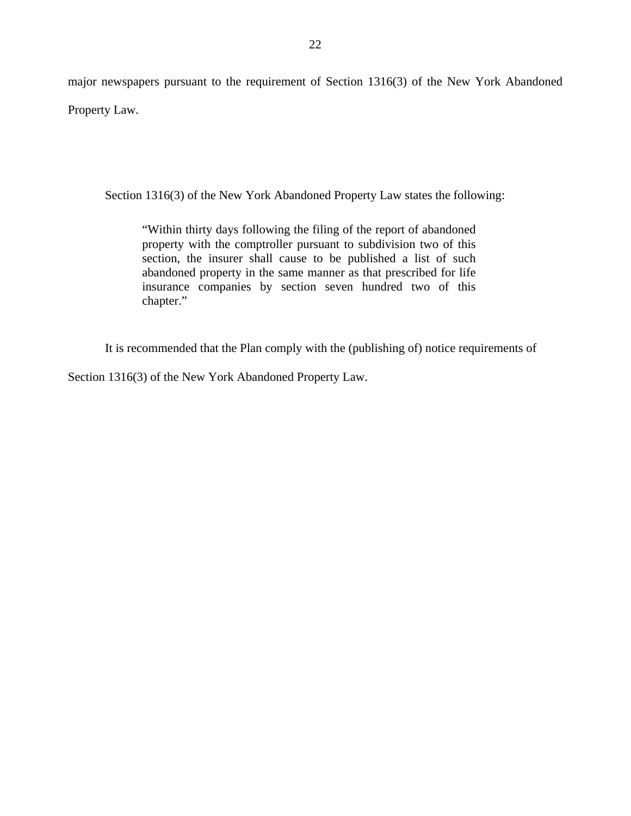major newspapers pursuant to the requirement of Section 1316(3) of the New York Abandoned Property Law.

Section 1316(3) of the New York Abandoned Property Law states the following:

"Within thirty days following the filing of the report of abandoned property with the comptroller pursuant to subdivision two of this section, the insurer shall cause to be published a list of such abandoned property in the same manner as that prescribed for life insurance companies by section seven hundred two of this chapter."

It is recommended that the Plan comply with the (publishing of) notice requirements of

Section 1316(3) of the New York Abandoned Property Law.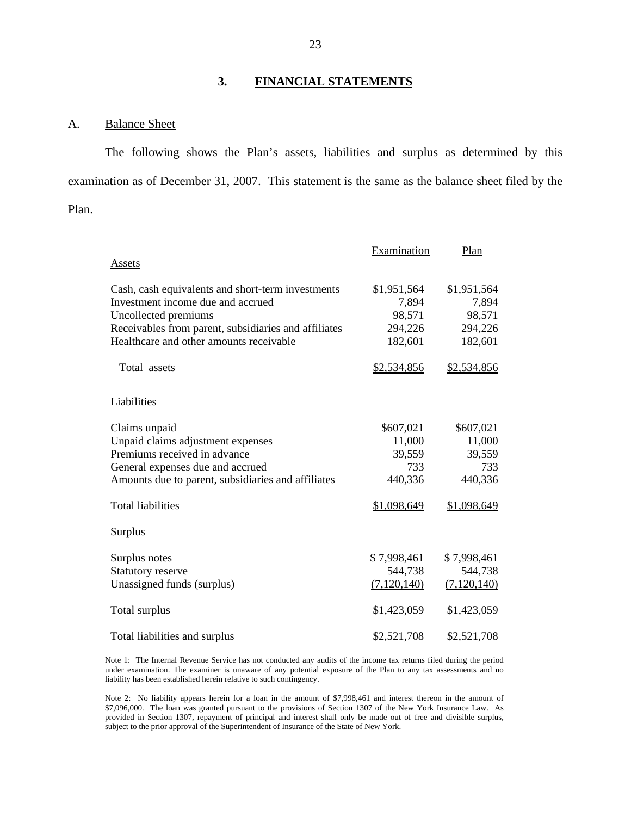### **3. FINANCIAL STATEMENTS**

#### <span id="page-24-0"></span>A. Balance Sheet

The following shows the Plan's assets, liabilities and surplus as determined by this examination as of December 31, 2007. This statement is the same as the balance sheet filed by the Plan.

|                                                      | Examination   | Plan          |
|------------------------------------------------------|---------------|---------------|
| Assets                                               |               |               |
| Cash, cash equivalents and short-term investments    | \$1,951,564   | \$1,951,564   |
| Investment income due and accrued                    | 7,894         | 7,894         |
| Uncollected premiums                                 | 98,571        | 98,571        |
| Receivables from parent, subsidiaries and affiliates | 294,226       | 294,226       |
| Healthcare and other amounts receivable              | 182,601       | 182,601       |
| Total assets                                         | \$2,534,856   | \$2,534,856   |
| Liabilities                                          |               |               |
| Claims unpaid                                        | \$607,021     | \$607,021     |
| Unpaid claims adjustment expenses                    | 11,000        | 11,000        |
| Premiums received in advance                         | 39,559        | 39,559        |
| General expenses due and accrued                     | 733           | 733           |
| Amounts due to parent, subsidiaries and affiliates   | 440,336       | 440,336       |
| <b>Total liabilities</b>                             | \$1,098,649   | \$1,098,649   |
| <b>Surplus</b>                                       |               |               |
| Surplus notes                                        | \$7,998,461   | \$7,998,461   |
| Statutory reserve                                    | 544,738       | 544,738       |
| Unassigned funds (surplus)                           | (7, 120, 140) | (7, 120, 140) |
| Total surplus                                        | \$1,423,059   | \$1,423,059   |
| Total liabilities and surplus                        | \$2,521,708   | \$2,521,708   |

Note 1: The Internal Revenue Service has not conducted any audits of the income tax returns filed during the period under examination. The examiner is unaware of any potential exposure of the Plan to any tax assessments and no liability has been established herein relative to such contingency.

Note 2: No liability appears herein for a loan in the amount of \$7,998,461 and interest thereon in the amount of \$7,096,000. The loan was granted pursuant to the provisions of Section 1307 of the New York Insurance Law. As provided in Section 1307, repayment of principal and interest shall only be made out of free and divisible surplus, subject to the prior approval of the Superintendent of Insurance of the State of New York.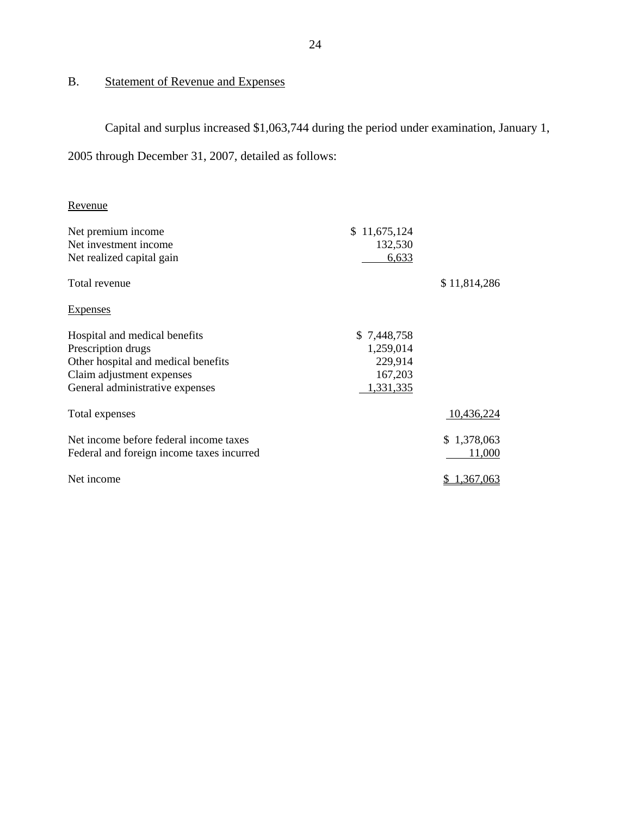## <span id="page-25-0"></span>B. Statement of Revenue and Expenses

Capital and surplus increased \$1,063,744 during the period under examination, January 1,

2005 through December 31, 2007, detailed as follows:

## Revenue

| Revenue                                   |              |              |
|-------------------------------------------|--------------|--------------|
| Net premium income                        | \$11,675,124 |              |
| Net investment income                     | 132,530      |              |
| Net realized capital gain                 | 6,633        |              |
| Total revenue                             |              | \$11,814,286 |
| <b>Expenses</b>                           |              |              |
| Hospital and medical benefits             | \$7,448,758  |              |
| Prescription drugs                        | 1,259,014    |              |
| Other hospital and medical benefits       | 229,914      |              |
| Claim adjustment expenses                 | 167,203      |              |
| General administrative expenses           | 1,331,335    |              |
| Total expenses                            |              | 10,436,224   |
| Net income before federal income taxes    |              | \$1,378,063  |
| Federal and foreign income taxes incurred |              | 11,000       |
| Net income                                |              | 1,367,063    |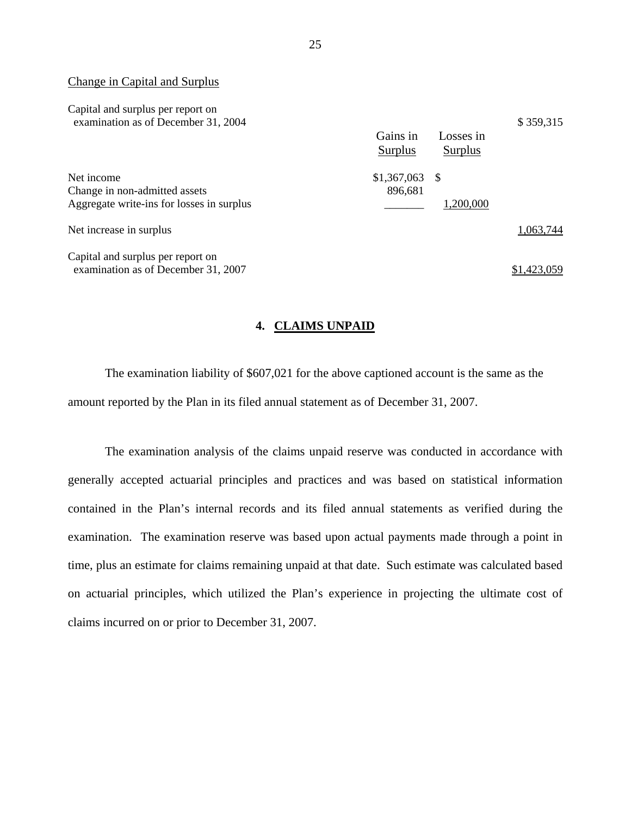#### Change in Capital and Surplus

| Capital and surplus per report on<br>examination as of December 31, 2004 |                     |                      | \$359,315   |
|--------------------------------------------------------------------------|---------------------|----------------------|-------------|
|                                                                          | Gains in<br>Surplus | Losses in<br>Surplus |             |
| Net income                                                               | \$1,367,063         | -S                   |             |
| Change in non-admitted assets                                            | 896,681             |                      |             |
| Aggregate write-ins for losses in surplus                                |                     | 1,200,000            |             |
| Net increase in surplus                                                  |                     |                      | 1,063,744   |
| Capital and surplus per report on                                        |                     |                      |             |
| examination as of December 31, 2007                                      |                     |                      | \$1.423.059 |

#### **4. CLAIMS UNPAID**

The examination liability of \$607,021 for the above captioned account is the same as the amount reported by the Plan in its filed annual statement as of December 31, 2007.

The examination analysis of the claims unpaid reserve was conducted in accordance with generally accepted actuarial principles and practices and was based on statistical information contained in the Plan's internal records and its filed annual statements as verified during the examination. The examination reserve was based upon actual payments made through a point in time, plus an estimate for claims remaining unpaid at that date. Such estimate was calculated based on actuarial principles, which utilized the Plan's experience in projecting the ultimate cost of claims incurred on or prior to December 31, 2007.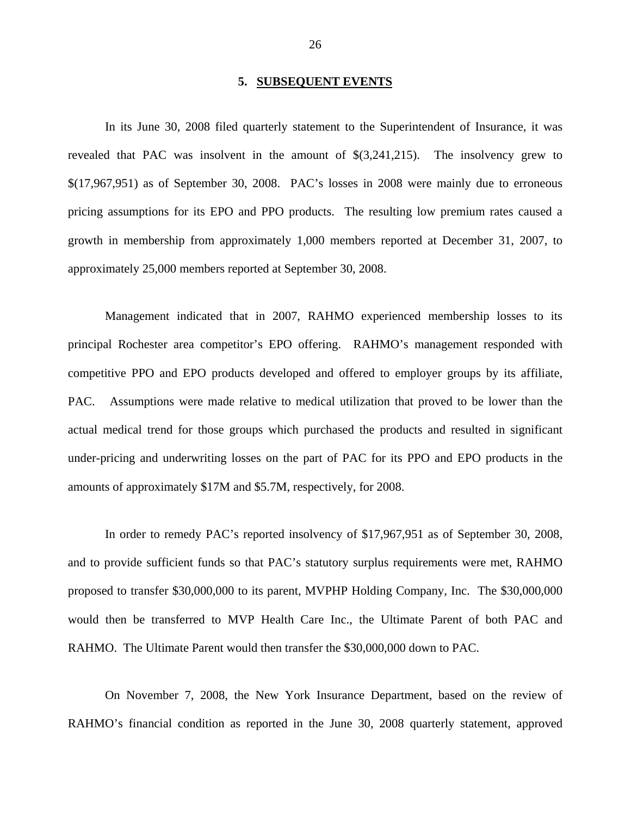#### **5. SUBSEQUENT EVENTS**

<span id="page-27-0"></span>In its June 30, 2008 filed quarterly statement to the Superintendent of Insurance, it was revealed that PAC was insolvent in the amount of \$(3,241,215). The insolvency grew to \$(17,967,951) as of September 30, 2008. PAC's losses in 2008 were mainly due to erroneous pricing assumptions for its EPO and PPO products. The resulting low premium rates caused a growth in membership from approximately 1,000 members reported at December 31, 2007, to approximately 25,000 members reported at September 30, 2008.

Management indicated that in 2007, RAHMO experienced membership losses to its principal Rochester area competitor's EPO offering. RAHMO's management responded with competitive PPO and EPO products developed and offered to employer groups by its affiliate, PAC. Assumptions were made relative to medical utilization that proved to be lower than the actual medical trend for those groups which purchased the products and resulted in significant under-pricing and underwriting losses on the part of PAC for its PPO and EPO products in the amounts of approximately \$17M and \$5.7M, respectively, for 2008.

In order to remedy PAC's reported insolvency of \$17,967,951 as of September 30, 2008, and to provide sufficient funds so that PAC's statutory surplus requirements were met, RAHMO proposed to transfer \$30,000,000 to its parent, MVPHP Holding Company, Inc. The \$30,000,000 would then be transferred to MVP Health Care Inc., the Ultimate Parent of both PAC and RAHMO. The Ultimate Parent would then transfer the \$30,000,000 down to PAC.

On November 7, 2008, the New York Insurance Department, based on the review of RAHMO's financial condition as reported in the June 30, 2008 quarterly statement, approved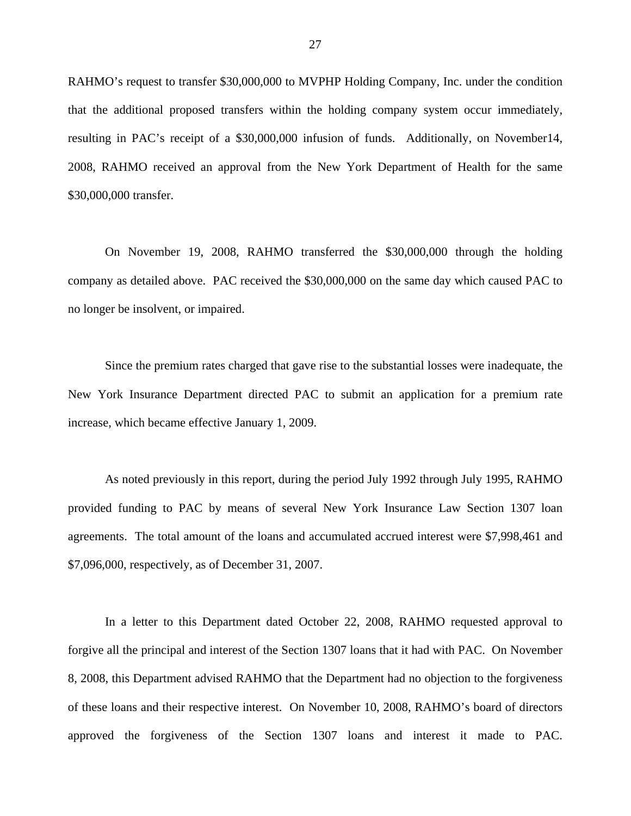RAHMO's request to transfer \$30,000,000 to MVPHP Holding Company, Inc. under the condition that the additional proposed transfers within the holding company system occur immediately, resulting in PAC's receipt of a \$30,000,000 infusion of funds. Additionally, on November14, 2008, RAHMO received an approval from the New York Department of Health for the same \$30,000,000 transfer.

On November 19, 2008, RAHMO transferred the \$30,000,000 through the holding company as detailed above. PAC received the \$30,000,000 on the same day which caused PAC to no longer be insolvent, or impaired.

Since the premium rates charged that gave rise to the substantial losses were inadequate, the New York Insurance Department directed PAC to submit an application for a premium rate increase, which became effective January 1, 2009.

As noted previously in this report, during the period July 1992 through July 1995, RAHMO provided funding to PAC by means of several New York Insurance Law Section 1307 loan agreements. The total amount of the loans and accumulated accrued interest were \$7,998,461 and \$7,096,000, respectively, as of December 31, 2007.

In a letter to this Department dated October 22, 2008, RAHMO requested approval to forgive all the principal and interest of the Section 1307 loans that it had with PAC. On November 8, 2008, this Department advised RAHMO that the Department had no objection to the forgiveness of these loans and their respective interest. On November 10, 2008, RAHMO's board of directors approved the forgiveness of the Section 1307 loans and interest it made to PAC.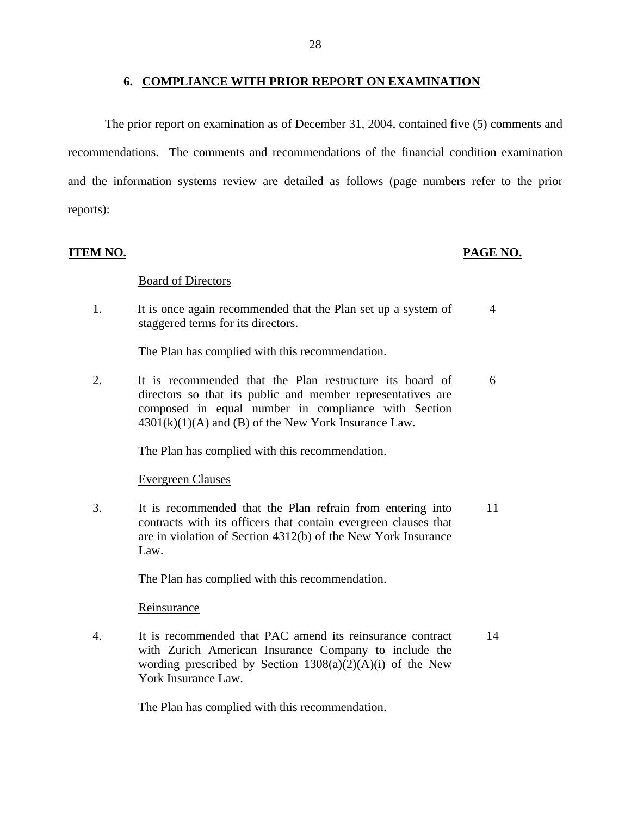#### **6. COMPLIANCE WITH PRIOR REPORT ON EXAMINATION**

The prior report on examination as of December 31, 2004, contained five (5) comments and recommendations. The comments and recommendations of the financial condition examination and the information systems review are detailed as follows (page numbers refer to the prior reports):

**ITEM NO. PAGE NO.** 

#### Board of Directors

1. It is once again recommended that the Plan set up a system of staggered terms for its directors. 4

The Plan has complied with this recommendation.

2. It is recommended that the Plan restructure its board of directors so that its public and member representatives are composed in equal number in compliance with Section  $4301(k)(1)(A)$  and (B) of the New York Insurance Law. 6

The Plan has complied with this recommendation.

#### Evergreen Clauses

3. It is recommended that the Plan refrain from entering into contracts with its officers that contain evergreen clauses that are in violation of Section 4312(b) of the New York Insurance Law. 11

The Plan has complied with this recommendation.

#### Reinsurance

4. It is recommended that PAC amend its reinsurance contract with Zurich American Insurance Company to include the wording prescribed by Section  $1308(a)(2)(A)(i)$  of the New York Insurance Law. 14

The Plan has complied with this recommendation.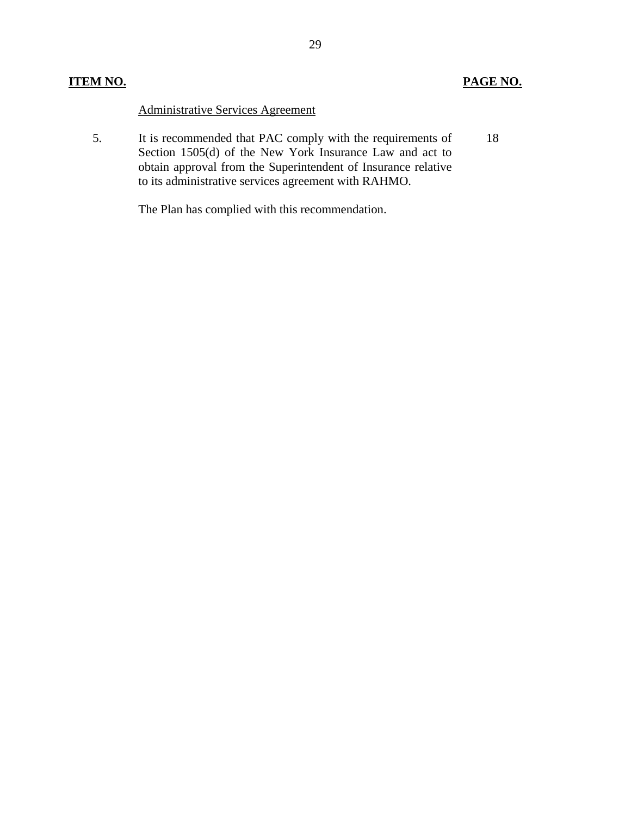## **ITEM NO.**

## **PAGE NO.**

Administrative Services Agreement

 5. It is recommended that PAC comply with the requirements of 18 Section 1505(d) of the New York Insurance Law and act to obtain approval from the Superintendent of Insurance relative to its administrative services agreement with RAHMO.

The Plan has complied with this recommendation.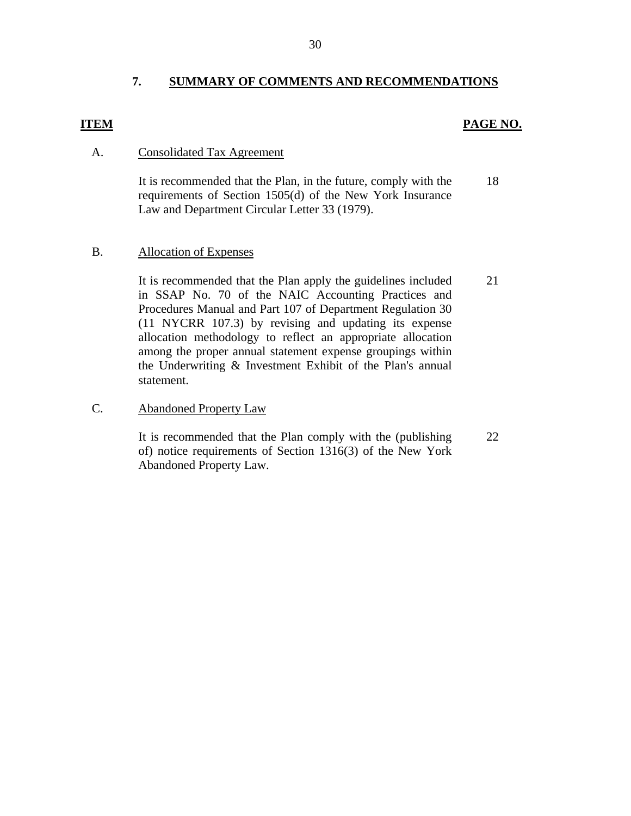## **7. SUMMARY OF COMMENTS AND RECOMMENDATIONS**

### <span id="page-31-0"></span>**ITEM**

### **PAGE NO.**

### A. Consolidated Tax Agreement

It is recommended that the Plan, in the future, comply with the 18 requirements of Section 1505(d) of the New York Insurance Law and Department Circular Letter 33 (1979).

#### B. Allocation of Expenses

It is recommended that the Plan apply the guidelines included 21 in SSAP No. 70 of the NAIC Accounting Practices and Procedures Manual and Part 107 of Department Regulation 30 (11 NYCRR 107.3) by revising and updating its expense allocation methodology to reflect an appropriate allocation among the proper annual statement expense groupings within the Underwriting & Investment Exhibit of the Plan's annual statement.

### C. Abandoned Property Law

It is recommended that the Plan comply with the (publishing 22 of) notice requirements of Section 1316(3) of the New York Abandoned Property Law.